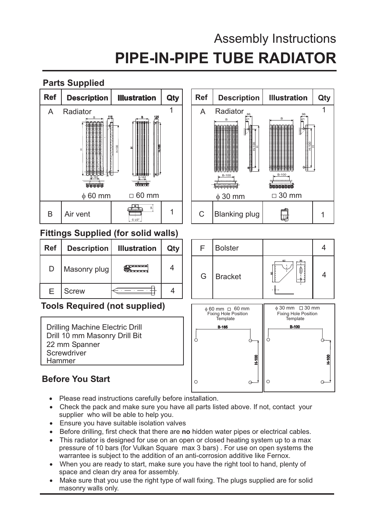# Assembly Instructions **PIPE-IN-PIPE TUBE RADIATOR**

**Parts Supplied Ref Description Illustration Qty Ref** | Description | Illustration | Qty A Radiator 1 A Radiator 1 86 96 116 B 125 B B B  $41$  4  $\frac{1}{21}$  41 의<br>-<br>-의<br>-H-100 의<br>구 HHHHB-100 B-100 B-165 B-165 **SAAA**  $\phi$  60 mm  $\Box$  60 mm  $\Box$   $\Box$   $\Box$  30 mm  $\Box$  30 mm  $\begin{array}{c|c|c|c|c|c} \hline \end{array}$  Blanking plug  $\begin{array}{c|c|c} \hline \end{array}$   $\begin{array}{c|c|c} \hline \end{array}$  1  $\begin{array}{c|c|c} \end{array}$  C  $\begin{array}{c|c|c}$  Blanking plug  $\begin{array}{c|c} \hline \end{array}$  1  $\begin{array}{c|c} \end{array}$  1 **Fittings Supplied (for solid walls) Ref** | Description | Illustration | Qty F Bolster 4  $\begin{array}{c}\n\mathbb{R}^{n \times n \times n} \\
\hline\n\mathbb{R}^{n \times n \times n \times n}\n\end{array}$ 4  $\mathsf{D}$  $\varphi$ Masonry plug 4 G Bracket Ħ E 4 **Screw Tools Required (not supplied)**  $6,30 \text{ mm} \quad \Box 30 \text{ mm}$ f 60 mm f 30 mm Fixing Hole Position Fixing Hole Position **Template Template** Drilling Machine Electric Drill B-165 B-100 Drill 10 mm Masonry Drill Bit Ò Ò 22 mm Spanner **Screwdriver** H-100 H-100 Hammer

## **Before You Start**

- · Please read instructions carefully before installation.
- · Check the pack and make sure you have all parts listed above. If not, contact your supplier who will be able to help you.

 $\circ$ 

 $\circ$ 

 $\Omega$ 

 $\Theta$ 

- · Ensure you have suitable isolation valves
- · Before drilling, first check that there are no hidden water pipes or electrical cables.
- · This radiator is designed for use on an open or closed heating system up to a max pressure of 10 bars (for Vulkan Square max 3 bars) . For use on open systems the warrantee is subject to the addition of an anti-corrosion additive like Fernox.
- · When you are ready to start, make sure you have the right tool to hand, plenty of space and clean dry area for assembly.
- · Make sure that you use the right type of wall fixing. The plugs supplied are for solid masonry walls only.